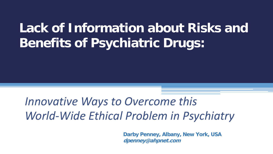# **Lack of Information about Risks and Benefits of Psychiatric Drugs:**

# *Innovative Ways to Overcome this World-Wide Ethical Problem in Psychiatry*

**Darby Penney, Albany, New York, USA dpenney@ahpnet.com**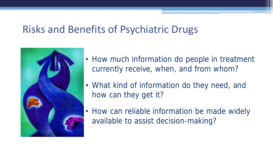### Risks and Benefits of Psychiatric Drugs



- How much information do people in treatment currently receive, when, and from whom?
- What kind of information do they need, and how can they get it?
- How can reliable information be made widely available to assist decision-making?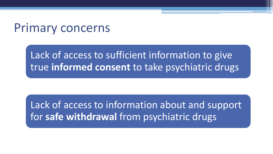### Primary concerns

Lack of access to sufficient information to give true **informed consent** to take psychiatric drugs

Lack of access to information about and support for **safe withdrawal** from psychiatric drugs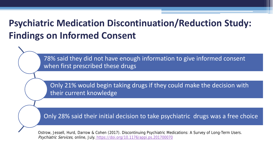#### **Psychiatric Medication Discontinuation/Reduction Study: Findings on Informed Consent**

78% said they did not have enough information to give informed consent when first prescribed these drugs

Only 21% would begin taking drugs if they could make the decision with their current knowledge

Only 28% said their initial decision to take psychiatric drugs was a free choice

Ostrow, Jessell, Hurd, Darrow & Cohen (2017). Discontinuing Psychiatric Medications: A Survey of Long-Term Users. Psychiatric Services, online, July. <https://doi.org/10.1176/appi.ps.201700070>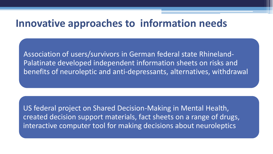#### **Innovative approaches to information needs**

Association of users/survivors in German federal state Rhineland-Palatinate developed independent information sheets on risks and benefits of neuroleptic and anti-depressants, alternatives, withdrawal

US federal project on Shared Decision-Making in Mental Health, created decision support materials, fact sheets on a range of drugs, interactive computer tool for making decisions about neuroleptics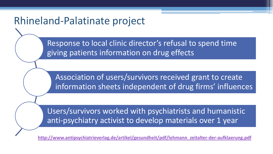#### Rhineland-Palatinate project

Response to local clinic director's refusal to spend time giving patients information on drug effects

Association of users/survivors received grant to create information sheets independent of drug firms' influences

Users/survivors worked with psychiatrists and humanistic anti-psychiatry activist to develop materials over 1 year

**[http://www.antipsychiatrieverlag.de/artikel/gesundheit/pdf/lehmann\\_zeitalter-der-aufklaerung.pdf](https://na01.safelinks.protection.outlook.com/?url=http://www.antipsychiatrieverlag.de/artikel/gesundheit/pdf/lehmann_zeitalter-der-aufklaerung.pdf&data=02|01|dpenney@ahpnet.com|9cf1ec58f1d748858cc108d50bc04d3b|114781441f1e4831b0bca3b55ed9b137|0|1|636427842934948457&sdata=3zvn01sLMMoWTN/t6Yg3c/HJunWP7ciCyyt15YfiQDY=&reserved=0)**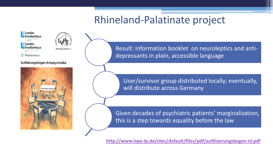#### Rhineland-Palatinate project



#### Aufklärungsbögen Antipsychotika



Result: information booklet on neuroleptics and antidepressants in plain, accessible language

User/survivor group distributed locally; eventually, will distribute across Germany

Given decades of psychiatric patients' marginalization, this is a step towards equality before the law

**<http://www.lvpe-lp.de/sites/default/files/pdf/aufklaerungsbogen-nl.pdf>**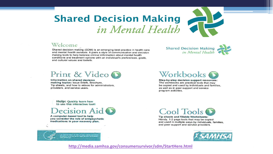#### **Shared Decision Making** in Mental Health

#### Welcome

Shared decision making (SDM) is an emerging best practice in health care and mental health services. It pairs a style of communication and decision making tools to help balance clinical information about mental health conditions and treatment options with an individual's preferences, goals. and cultural values and beliefs.

Shared Decision Making

#### Print & Video

Information on shared decision making topics: Issue Briefs, Brochure, Tip sheets, and how to videos for administrators. providers, and service users.

Workbooks **O** 

Step-by-step decision support resources: The workbooks are practical tools that may be copied and used by individuals and families, as well as in peer support and service program activities.

Help: Quickly learn how to use this interactive tool!



A computer-based tool to help you consider the role of antipsychotic medications in your recovery plan.





Tip sheets and fillable Worksheets: Handy, 1-2 page tools that may be copied and used in multiple ways by individuals, families, and peer support and service providers.



**<http://media.samhsa.gov/consumersurvivor/sdm/StartHere.html>**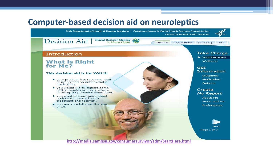#### **Computer-based decision aid on neuroleptics**



**<http://media.samhsa.gov/consumersurvivor/sdm/StartHere.html>**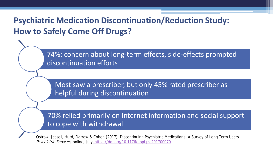#### **Psychiatric Medication Discontinuation/Reduction Study: How to Safely Come Off Drugs?**

74%: concern about long-term effects, side-effects prompted discontinuation efforts

Most saw a prescriber, but only 45% rated prescriber as helpful during discontinuation

70% relied primarily on Internet information and social support to cope with withdrawal

Ostrow, Jessell, Hurd, Darrow & Cohen (2017). Discontinuing Psychiatric Medications: A Survey of Long-Term Users. Psychiatric Services, online, July. <https://doi.org/10.1176/appi.ps.201700070>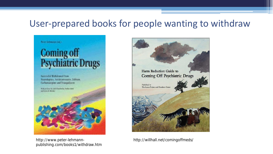#### User-prepared books for people wanting to withdraw



http://www.peter-lehmann- http://willhall.net/comingoffmeds/ publishing.com/books1/withdraw.htm

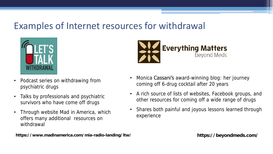#### Examples of Internet resources for withdrawal



- Podcast series on withdrawing from psychiatric drugs
- Talks by professionals and psychiatric survivors who have come off drugs
- Through website Mad in America, which offers many additional resources on withdrawal



- Monica Cassani's award-winning blog: her journey coming off 6-drug cocktail after 20 years
- A rich source of lists of websites, Facebook groups, and other resources for coming off a wide range of drugs
- Shares both painful and joyous lessons learned through experience

**https://www.madinamerica.com/mia-radio-landing/ltw/**

**https://beyondmeds.com/**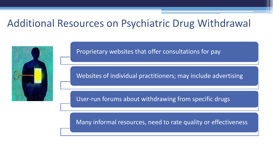#### Additional Resources on Psychiatric Drug Withdrawal



Proprietary websites that offer consultations for pay

Websites of individual practitioners; may include advertising

User-run forums about withdrawing from specific drugs

Many informal resources, need to rate quality or effectiveness